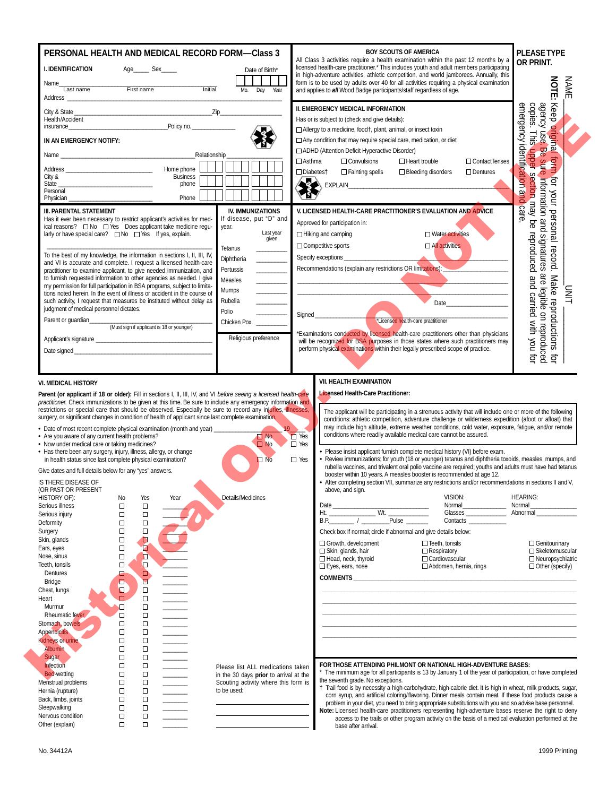|                                                                                                                                                                                                                                                                                                                                                                                                                                                                                                                                                                                                                                                                                                                                                                                 | First name                                                                              | Age_________ Sex_______                                                                          | Initial                                                         | PERSONAL HEALTH AND MEDICAL RECORD FORM-Class 3<br>Date of Birth*<br>Mo. Day Year                                                                                                                                                                                                                                                                                                         |                                                       | <b>BOY SCOUTS OF AMERICA</b><br>All Class 3 activities require a health examination within the past 12 months by a<br>licensed health-care practitioner.* This includes youth and adult members participating<br>in high-adventure activities, athletic competition, and world jamborees. Annually, this<br>form is to be used by adults over 40 for all activities requiring a physical examination<br>and applies to all Wood Badge participants/staff regardless of age.                                                                                                                                                                                                                                                                                                                                                                                                                                                    |                                                                                                                |                                     | <b>PLEASE TYPE</b><br>OR PRINT.<br><b>NOTE:</b><br><b>NAME</b>                                                                                                                |
|---------------------------------------------------------------------------------------------------------------------------------------------------------------------------------------------------------------------------------------------------------------------------------------------------------------------------------------------------------------------------------------------------------------------------------------------------------------------------------------------------------------------------------------------------------------------------------------------------------------------------------------------------------------------------------------------------------------------------------------------------------------------------------|-----------------------------------------------------------------------------------------|--------------------------------------------------------------------------------------------------|-----------------------------------------------------------------|-------------------------------------------------------------------------------------------------------------------------------------------------------------------------------------------------------------------------------------------------------------------------------------------------------------------------------------------------------------------------------------------|-------------------------------------------------------|--------------------------------------------------------------------------------------------------------------------------------------------------------------------------------------------------------------------------------------------------------------------------------------------------------------------------------------------------------------------------------------------------------------------------------------------------------------------------------------------------------------------------------------------------------------------------------------------------------------------------------------------------------------------------------------------------------------------------------------------------------------------------------------------------------------------------------------------------------------------------------------------------------------------------------|----------------------------------------------------------------------------------------------------------------|-------------------------------------|-------------------------------------------------------------------------------------------------------------------------------------------------------------------------------|
| City & State_<br>Health/Accident<br>insurance and the contract of the contract of the contract of the contract of the contract of the contract of the contract of the contract of the contract of the contract of the contract of the contract of the contract of<br>IN AN EMERGENCY NOTIFY:<br>Address Home phone<br>City &<br>State<br>Personal                                                                                                                                                                                                                                                                                                                                                                                                                               |                                                                                         |                                                                                                  | Policy no.<br>Relationship<br><b>Business</b><br>phone<br>Phone | $\mathsf{Zip}\_$                                                                                                                                                                                                                                                                                                                                                                          | $\Box$ Asthma<br>□ Diabetes†                          | II. EMERGENCY MEDICAL INFORMATION<br>Has or is subject to (check and give details):<br>$\Box$ Allergy to a medicine, food†, plant, animal, or insect toxin<br>$\Box$ Any condition that may require special care, medication, or diet<br>ADHD (Attention Deficit Hyperactive Disorder)<br>$\Box$ Convulsions<br>$\Box$ Fainting spells                                                                                                                                                                                                                                                                                                                                                                                                                                                                                                                                                                                         | $\Box$ Heart trouble<br>□ Bleeding disorders                                                                   | □ Contact lenses<br>$\Box$ Dentures | agency use. Be sur<br>copies. This upper<br>Keep<br>emergency identification a<br>original form f<br>cy use Be sure i<br>section may be<br>$\vec{q}$<br>Mour<br>B             |
| <b>III. PARENTAL STATEMENT</b><br>Has it ever been necessary to restrict applicant's activities for med-<br>larly or have special care? $\Box$ No $\Box$ Yes If yes, explain.<br>To the best of my knowledge, the information in sections I, II, III, IV,<br>and VI is accurate and complete. I request a licensed health-care<br>practitioner to examine applicant, to give needed immunization, and<br>to furnish requested information to other agencies as needed. I give<br>my permission for full participation in BSA programs, subject to limita-<br>tions noted herein. In the event of illness or accident in the course of<br>such activity, I request that measures be instituted without delay as<br>judgment of medical personnel dictates.<br>Parent or guardian |                                                                                         | (Must sign if applicant is 18 or younger)                                                        |                                                                 | <b>IV. IMMUNIZATIONS</b><br>If disease, put "D" and<br>year.<br>Last year<br>given<br>Tetanus<br>Diphtheria<br>Pertussis<br>Measles<br>Mumps<br>Rubella<br>Polio<br>Chicken Pox<br>Religious preference                                                                                                                                                                                   |                                                       | V. LICENSED HEALTH-CARE PRACTITIONER'S EVALUATION AND ADVICE<br>Approved for participation in:<br>$\Box$ Hiking and camping<br>□ Competitive sports<br>Recommendations (explain any restrictions OR limitations):<br>*Examinations conducted by licensed health-care practitioners other than physicians<br>will be recognized for BSA purposes in those states where such practitioners may<br>perform physical examinations within their legally prescribed scope of practice.                                                                                                                                                                                                                                                                                                                                                                                                                                               | $\Box$ Water activities<br>$\Box$ All activities<br>*Licensed health-care practitioner                         |                                     | Information and signatures<br>care<br>personal<br>reproduced<br>record.<br>are legible on reproduced<br>and carried with you for<br>Make reproductions<br>들<br>그<br>$\vec{q}$ |
| surgery, or significant changes in condition of health of applicant since last complete examination.<br>• Date of most recent complete physical examination (month and year)<br>• Are you aware of any current health problems?<br>• Now under medical care or taking medicines?<br>• Has there been any surgery, injury, illness, allergy, or change<br>in health status since last complete physical examination?<br>Give dates and full details below for any "yes" answers.                                                                                                                                                                                                                                                                                                 |                                                                                         | Yes<br>Year                                                                                      |                                                                 | Parent (or applicant if 18 or older): Fill in sections I, II, III, IV, and VI before seeing a licensed health-care<br>practitioner. Check immunizations to be given at this time. Be sure to include any emergency information and<br>restrictions or special care that should be observed. Especially be sure to record any injuries, illnesses,<br>$\Box$ No<br>$\Box$ No<br>$\n  No\n$ | $ 9\rangle$<br>$\Box$ Yes<br>$\Box$ Yes<br>$\Box$ Yes | Licensed Health-Care Practitioner:<br>The applicant will be participating in a strenuous activity that will include one or more of the following<br>conditions: athletic competition, adventure challenge or wilderness expedition (afoot or afloat) that<br>may include high altitude, extreme weather conditions, cold water, exposure, fatigue, and/or remote<br>conditions where readily available medical care cannot be assured.<br>• Please insist applicant furnish complete medical history (VI) before exam.<br>• Review immunizations; for youth (18 or younger) tetanus and diphtheria toxoids, measles, mumps, and<br>rubella vaccines, and trivalent oral polio vaccine are required; youths and adults must have had tetanus<br>booster within 10 years. A measles booster is recommended at age 12.<br>• After completing section VII, summarize any restrictions and/or recommendations in sections II and V, |                                                                                                                |                                     |                                                                                                                                                                               |
| IS THERE DISEASE OF<br>(OR PAST OR PRESENT<br>HISTORY OF):<br>Serious illness<br>Serious injury<br>Deformity<br>Surgery<br>Skin, glands<br>Ears, eyes<br>Nose, sinus<br>Teeth. tonsils<br>Dentures<br><b>Bridge</b><br>Chest, lungs                                                                                                                                                                                                                                                                                                                                                                                                                                                                                                                                             | No<br>$\Box$<br>□<br>$\Box$<br>$\Box$<br>$\Box$<br>$\Box$<br>$\Box$<br>□<br>⋳<br>в<br>O | $\Box$<br>$\Box$<br>$\Box$<br>$\Box$<br>Ô<br>ø<br>$\Box$<br>$\Box$<br>$\Box$<br>$\Box$<br>$\Box$ |                                                                 | Details/Medicines                                                                                                                                                                                                                                                                                                                                                                         |                                                       | above, and sign.<br>Date<br>Wt.<br>Ht. $\qquad \qquad \qquad$<br>B.P.<br>_Pulse<br>Check box if normal; circle if abnormal and give details below:<br>Growth, development<br>$\Box$ Skin, glands, hair<br>Head, neck, thyroid<br>$\square$ Eyes, ears, nose<br><b>COMMENTS</b>                                                                                                                                                                                                                                                                                                                                                                                                                                                                                                                                                                                                                                                 | VISION:<br>Normal<br>$\Box$ Teeth, tonsils<br>$\Box$ Respiratory<br>□ Cardiovascular<br>Abdomen, hernia, rings | Glasses                             | <b>HEARING:</b><br>Normal<br>Abnormal<br>Genitourinary<br>□ Skeletomuscular<br>Neuropsychiatric<br>$\Box$ Other (specify)                                                     |